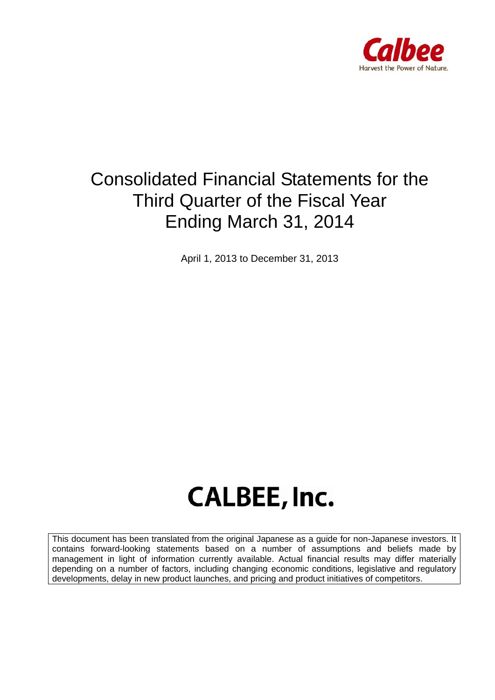

# Consolidated Financial Statements for the Third Quarter of the Fiscal Year Ending March 31, 2014

April 1, 2013 to December 31, 2013

# **CALBEE, Inc.**

This document has been translated from the original Japanese as a guide for non-Japanese investors. It contains forward-looking statements based on a number of assumptions and beliefs made by management in light of information currently available. Actual financial results may differ materially depending on a number of factors, including changing economic conditions, legislative and regulatory developments, delay in new product launches, and pricing and product initiatives of competitors.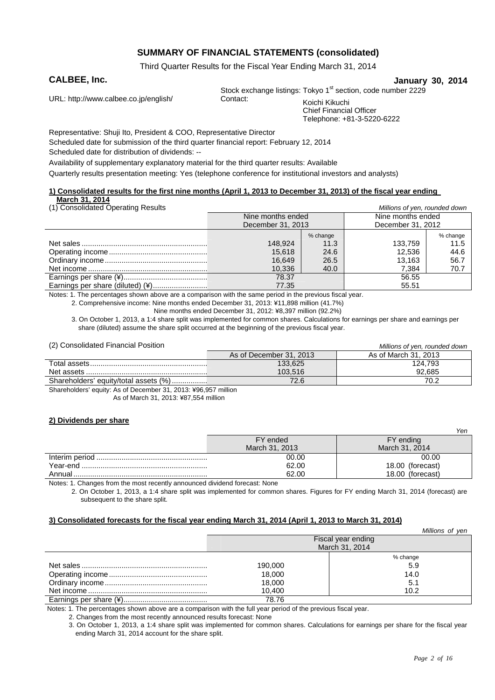## **SUMMARY OF FINANCIAL STATEMENTS (consolidated)**

Third Quarter Results for the Fiscal Year Ending March 31, 2014

**CALBEE, Inc. January 30, 2014**

URL: http://www.calbee.co.jp/english/ Contact: Koichi Kikuchi

Stock exchange listings: Tokyo 1<sup>st</sup> section, code number 2229

Chief Financial Officer Telephone: +81-3-5220-6222

Representative: Shuji Ito, President & COO, Representative Director Scheduled date for submission of the third quarter financial report: February 12, 2014 Scheduled date for distribution of dividends: --

Availability of supplementary explanatory material for the third quarter results: Available

Quarterly results presentation meeting: Yes (telephone conference for institutional investors and analysts)

#### **1) Consolidated results for the first nine months (April 1, 2013 to December 31, 2013) of the fiscal year ending March 31, 2014**

| (1) Consolidated Operating Results | Millions of yen, rounded down |          |                   |          |
|------------------------------------|-------------------------------|----------|-------------------|----------|
|                                    | Nine months ended             |          | Nine months ended |          |
|                                    | December 31, 2013             |          | December 31, 2012 |          |
|                                    |                               | % change |                   | % change |
|                                    | 148.924                       | 11.3     | 133.759           | 11.5     |
|                                    | 15.618                        | 24.6     | 12.536            | 44.6     |
|                                    | 16.649                        | 26.5     | 13.163            | 56.7     |
|                                    | 10,336                        | 40.0     | 7.384             | 70.7     |
|                                    | 78.37                         |          | 56.55             |          |
| Earnings per share (diluted) (¥)   | 77.35                         |          | 55.51             |          |

Notes: 1. The percentages shown above are a comparison with the same period in the previous fiscal year.

2. Comprehensive income: Nine months ended December 31, 2013: ¥11,898 million (41.7%)

Nine months ended December 31, 2012: ¥8,397 million (92.2%)

3. On October 1, 2013, a 1:4 share split was implemented for common shares. Calculations for earnings per share and earnings per share (diluted) assume the share split occurred at the beginning of the previous fiscal year.

(2) Consolidated Financial Position *Millions of yen, rounded down*

|                                       |                         | <u>MINOLIS OF VUILTOUNDU GUINTE</u> |
|---------------------------------------|-------------------------|-------------------------------------|
|                                       | As of December 31, 2013 | As of March 31, 2013                |
|                                       | 133.625                 | 124.793                             |
|                                       | 103.516                 | 92.685                              |
| Shareholders' equity/total assets (%) | 72.6                    | 70.2                                |
|                                       |                         |                                     |

Shareholders' equity: As of December 31, 2013: ¥96,957 million

As of March 31, 2013: ¥87,554 million

#### **2) Dividends per share**

|          |                | Yen              |
|----------|----------------|------------------|
|          | FY ended       | FY ending        |
|          | March 31, 2013 | March 31, 2014   |
|          | 00.00          | 00.00            |
| Year-end | 62.00          | 18.00 (forecast) |
|          | 62.00          | 18.00 (forecast) |

Notes: 1. Changes from the most recently announced dividend forecast: None

2. On October 1, 2013, a 1:4 share split was implemented for common shares. Figures for FY ending March 31, 2014 (forecast) are subsequent to the share split.

#### **3) Consolidated forecasts for the fiscal year ending March 31, 2014 (April 1, 2013 to March 31, 2014)**

|         | Millions of yen    |
|---------|--------------------|
|         | Fiscal year ending |
|         | March 31, 2014     |
|         | % change           |
| 190.000 | 5.9                |
| 18,000  | 14.0               |
| 18,000  | 5.1                |
| 10.400  | 10.2               |
| 78.76   |                    |

Notes: 1. The percentages shown above are a comparison with the full year period of the previous fiscal year.

2. Changes from the most recently announced results forecast: None

3. On October 1, 2013, a 1:4 share split was implemented for common shares. Calculations for earnings per share for the fiscal year ending March 31, 2014 account for the share split.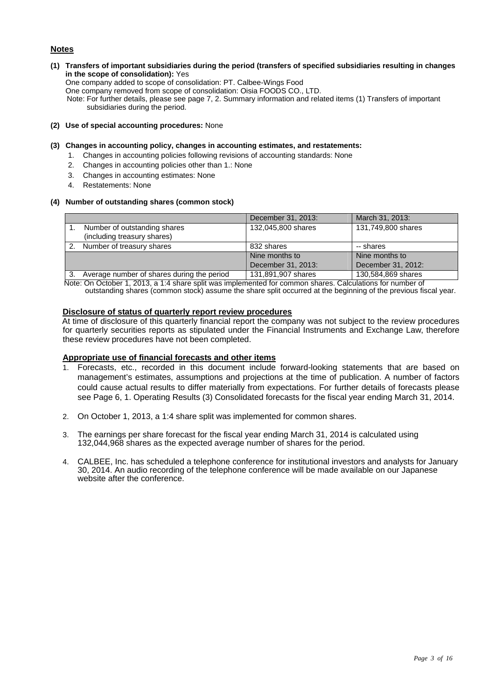#### **Notes**

#### **(1) Transfers of important subsidiaries during the period (transfers of specified subsidiaries resulting in changes in the scope of consolidation):** Yes

One company added to scope of consolidation: PT. Calbee-Wings Food

One company removed from scope of consolidation: Oisia FOODS CO., LTD.

Note: For further details, please see page 7, 2. Summary information and related items (1) Transfers of important subsidiaries during the period.

**(2) Use of special accounting procedures:** None

#### **(3) Changes in accounting policy, changes in accounting estimates, and restatements:**

- 1. Changes in accounting policies following revisions of accounting standards: None
	- 2. Changes in accounting policies other than 1.: None
	- 3. Changes in accounting estimates: None
	- 4. Restatements: None

#### **(4) Number of outstanding shares (common stock)**

|    |                                            | December 31, 2013: | March 31, 2013:    |
|----|--------------------------------------------|--------------------|--------------------|
|    | Number of outstanding shares               | 132,045,800 shares | 131,749,800 shares |
|    | (including treasury shares)                |                    |                    |
| 2. | Number of treasury shares                  | 832 shares         | -- shares          |
|    |                                            | Nine months to     | Nine months to     |
|    |                                            | December 31, 2013: | December 31, 2012: |
| 3. | Average number of shares during the period | 131,891,907 shares | 130,584,869 shares |

Note: On October 1, 2013, a 1:4 share split was implemented for common shares. Calculations for number of outstanding shares (common stock) assume the share split occurred at the beginning of the previous fiscal year.

#### **Disclosure of status of quarterly report review procedures**

At time of disclosure of this quarterly financial report the company was not subject to the review procedures for quarterly securities reports as stipulated under the Financial Instruments and Exchange Law, therefore these review procedures have not been completed.

#### **Appropriate use of financial forecasts and other items**

- 1. Forecasts, etc., recorded in this document include forward-looking statements that are based on management's estimates, assumptions and projections at the time of publication. A number of factors could cause actual results to differ materially from expectations. For further details of forecasts please see Page 6, 1. Operating Results (3) Consolidated forecasts for the fiscal year ending March 31, 2014.
- 2. On October 1, 2013, a 1:4 share split was implemented for common shares.
- 3. The earnings per share forecast for the fiscal year ending March 31, 2014 is calculated using 132,044,968 shares as the expected average number of shares for the period.
- 4. CALBEE, Inc. has scheduled a telephone conference for institutional investors and analysts for January 30, 2014. An audio recording of the telephone conference will be made available on our Japanese website after the conference.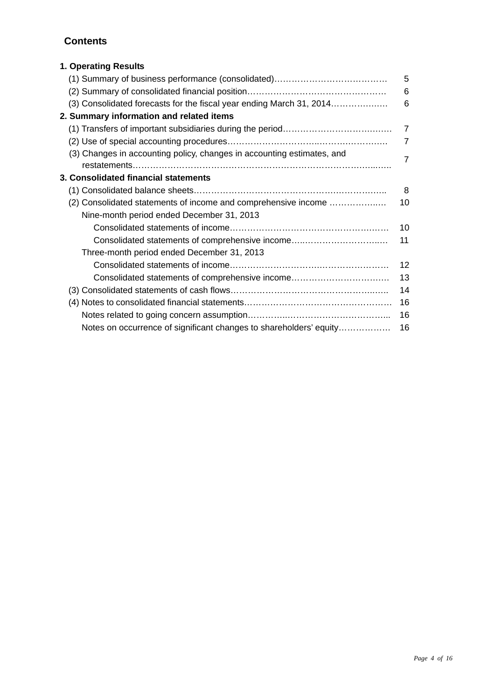# **Contents**

| 1. Operating Results                                                   |                |
|------------------------------------------------------------------------|----------------|
|                                                                        | 5              |
|                                                                        | 6              |
| (3) Consolidated forecasts for the fiscal year ending March 31, 2014   | 6              |
| 2. Summary information and related items                               |                |
|                                                                        | $\overline{7}$ |
|                                                                        | $\overline{7}$ |
| (3) Changes in accounting policy, changes in accounting estimates, and | $\overline{7}$ |
|                                                                        |                |
| 3. Consolidated financial statements                                   |                |
|                                                                        | 8              |
| (2) Consolidated statements of income and comprehensive income         | 10             |
| Nine-month period ended December 31, 2013                              |                |
|                                                                        | 10             |
| Consolidated statements of comprehensive income                        | 11             |
| Three-month period ended December 31, 2013                             |                |
|                                                                        | 12             |
| Consolidated statements of comprehensive income                        | 13             |
|                                                                        | 14             |
|                                                                        | 16             |
|                                                                        | 16             |
| Notes on occurrence of significant changes to shareholders' equity     | 16             |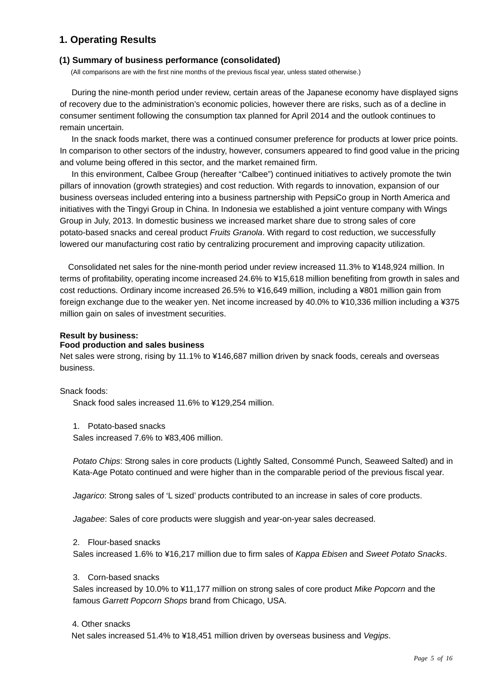# **1. Operating Results**

#### **(1) Summary of business performance (consolidated)**

(All comparisons are with the first nine months of the previous fiscal year, unless stated otherwise.)

During the nine-month period under review, certain areas of the Japanese economy have displayed signs of recovery due to the administration's economic policies, however there are risks, such as of a decline in consumer sentiment following the consumption tax planned for April 2014 and the outlook continues to remain uncertain.

In the snack foods market, there was a continued consumer preference for products at lower price points. In comparison to other sectors of the industry, however, consumers appeared to find good value in the pricing and volume being offered in this sector, and the market remained firm.

In this environment, Calbee Group (hereafter "Calbee") continued initiatives to actively promote the twin pillars of innovation (growth strategies) and cost reduction. With regards to innovation, expansion of our business overseas included entering into a business partnership with PepsiCo group in North America and initiatives with the Tingyi Group in China. In Indonesia we established a joint venture company with Wings Group in July, 2013. In domestic business we increased market share due to strong sales of core potato-based snacks and cereal product *Fruits Granola*. With regard to cost reduction, we successfully lowered our manufacturing cost ratio by centralizing procurement and improving capacity utilization.

Consolidated net sales for the nine-month period under review increased 11.3% to ¥148,924 million. In terms of profitability, operating income increased 24.6% to ¥15,618 million benefiting from growth in sales and cost reductions. Ordinary income increased 26.5% to ¥16,649 million, including a ¥801 million gain from foreign exchange due to the weaker yen. Net income increased by 40.0% to ¥10,336 million including a ¥375 million gain on sales of investment securities.

#### **Result by business:**

#### **Food production and sales business**

Net sales were strong, rising by 11.1% to ¥146,687 million driven by snack foods, cereals and overseas business.

#### Snack foods:

Snack food sales increased 11.6% to ¥129,254 million.

1. Potato-based snacks

Sales increased 7.6% to ¥83,406 million.

*Potato Chips*: Strong sales in core products (Lightly Salted, Consommé Punch, Seaweed Salted) and in Kata-Age Potato continued and were higher than in the comparable period of the previous fiscal year.

*Jagarico*: Strong sales of 'L sized' products contributed to an increase in sales of core products.

*Jagabee*: Sales of core products were sluggish and year-on-year sales decreased.

#### 2. Flour-based snacks

Sales increased 1.6% to ¥16,217 million due to firm sales of *Kappa Ebisen* and *Sweet Potato Snacks*.

#### 3. Corn-based snacks

Sales increased by 10.0% to ¥11,177 million on strong sales of core product *Mike Popcorn* and the famous *Garrett Popcorn Shops* brand from Chicago, USA.

#### 4. Other snacks

Net sales increased 51.4% to ¥18,451 million driven by overseas business and *Vegips*.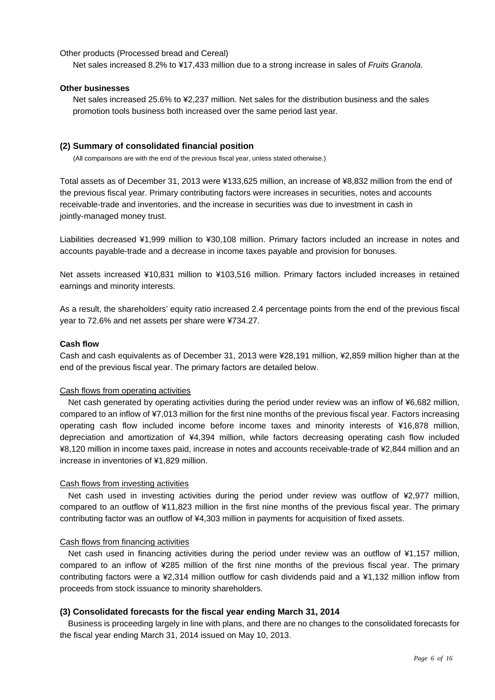#### Other products (Processed bread and Cereal)

Net sales increased 8.2% to ¥17,433 million due to a strong increase in sales of *Fruits Granola*.

#### **Other businesses**

Net sales increased 25.6% to ¥2,237 million. Net sales for the distribution business and the sales promotion tools business both increased over the same period last year.

#### **(2) Summary of consolidated financial position**

(All comparisons are with the end of the previous fiscal year, unless stated otherwise.)

Total assets as of December 31, 2013 were ¥133,625 million, an increase of ¥8,832 million from the end of the previous fiscal year. Primary contributing factors were increases in securities, notes and accounts receivable-trade and inventories, and the increase in securities was due to investment in cash in jointly-managed money trust.

Liabilities decreased ¥1,999 million to ¥30,108 million. Primary factors included an increase in notes and accounts payable-trade and a decrease in income taxes payable and provision for bonuses.

Net assets increased ¥10,831 million to ¥103,516 million. Primary factors included increases in retained earnings and minority interests.

As a result, the shareholders' equity ratio increased 2.4 percentage points from the end of the previous fiscal year to 72.6% and net assets per share were ¥734.27.

#### **Cash flow**

Cash and cash equivalents as of December 31, 2013 were ¥28,191 million, ¥2,859 million higher than at the end of the previous fiscal year. The primary factors are detailed below.

#### Cash flows from operating activities

Net cash generated by operating activities during the period under review was an inflow of ¥6,682 million, compared to an inflow of ¥7,013 million for the first nine months of the previous fiscal year. Factors increasing operating cash flow included income before income taxes and minority interests of ¥16,878 million, depreciation and amortization of ¥4,394 million, while factors decreasing operating cash flow included ¥8,120 million in income taxes paid, increase in notes and accounts receivable-trade of ¥2,844 million and an increase in inventories of ¥1,829 million.

#### Cash flows from investing activities

Net cash used in investing activities during the period under review was outflow of ¥2,977 million, compared to an outflow of ¥11,823 million in the first nine months of the previous fiscal year. The primary contributing factor was an outflow of ¥4,303 million in payments for acquisition of fixed assets.

#### Cash flows from financing activities

Net cash used in financing activities during the period under review was an outflow of ¥1,157 million, compared to an inflow of ¥285 million of the first nine months of the previous fiscal year. The primary contributing factors were a ¥2,314 million outflow for cash dividends paid and a ¥1,132 million inflow from proceeds from stock issuance to minority shareholders.

#### **(3) Consolidated forecasts for the fiscal year ending March 31, 2014**

 Business is proceeding largely in line with plans, and there are no changes to the consolidated forecasts for the fiscal year ending March 31, 2014 issued on May 10, 2013.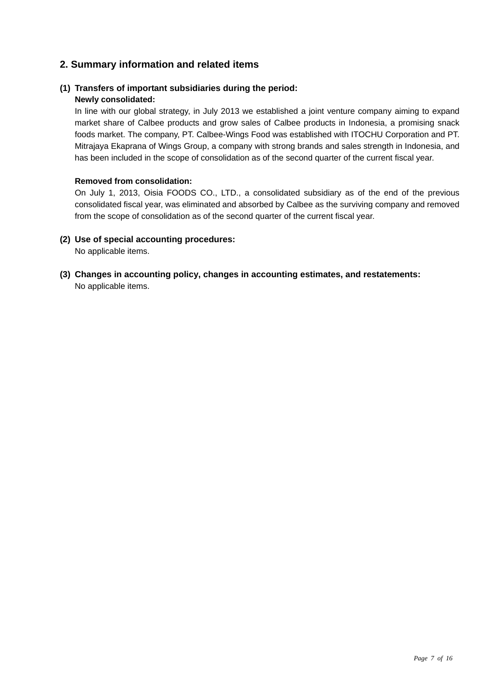# **2. Summary information and related items**

# **(1) Transfers of important subsidiaries during the period:**

### **Newly consolidated:**

In line with our global strategy, in July 2013 we established a joint venture company aiming to expand market share of Calbee products and grow sales of Calbee products in Indonesia, a promising snack foods market. The company, PT. Calbee-Wings Food was established with ITOCHU Corporation and PT. Mitrajaya Ekaprana of Wings Group, a company with strong brands and sales strength in Indonesia, and has been included in the scope of consolidation as of the second quarter of the current fiscal year.

#### **Removed from consolidation:**

On July 1, 2013, Oisia FOODS CO., LTD., a consolidated subsidiary as of the end of the previous consolidated fiscal year, was eliminated and absorbed by Calbee as the surviving company and removed from the scope of consolidation as of the second quarter of the current fiscal year.

## **(2) Use of special accounting procedures:**

No applicable items.

**(3) Changes in accounting policy, changes in accounting estimates, and restatements:**  No applicable items.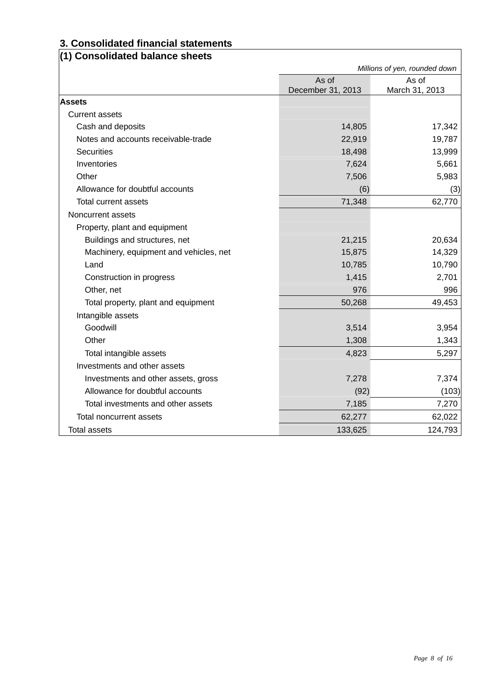# **3. Consolidated financial statements**

# **(1) Consolidated balance sheets**

|                                        | Millions of yen, rounded down |                         |
|----------------------------------------|-------------------------------|-------------------------|
|                                        | As of<br>December 31, 2013    | As of<br>March 31, 2013 |
| <b>Assets</b>                          |                               |                         |
| <b>Current assets</b>                  |                               |                         |
| Cash and deposits                      | 14,805                        | 17,342                  |
| Notes and accounts receivable-trade    | 22,919                        | 19,787                  |
| <b>Securities</b>                      | 18,498                        | 13,999                  |
| Inventories                            | 7,624                         | 5,661                   |
| Other                                  | 7,506                         | 5,983                   |
| Allowance for doubtful accounts        | (6)                           | (3)                     |
| Total current assets                   | 71,348                        | 62,770                  |
| Noncurrent assets                      |                               |                         |
| Property, plant and equipment          |                               |                         |
| Buildings and structures, net          | 21,215                        | 20,634                  |
| Machinery, equipment and vehicles, net | 15,875                        | 14,329                  |
| Land                                   | 10,785                        | 10,790                  |
| Construction in progress               | 1,415                         | 2,701                   |
| Other, net                             | 976                           | 996                     |
| Total property, plant and equipment    | 50,268                        | 49,453                  |
| Intangible assets                      |                               |                         |
| Goodwill                               | 3,514                         | 3,954                   |
| Other                                  | 1,308                         | 1,343                   |
| Total intangible assets                | 4,823                         | 5,297                   |
| Investments and other assets           |                               |                         |
| Investments and other assets, gross    | 7,278                         | 7,374                   |
| Allowance for doubtful accounts        | (92)                          | (103)                   |
| Total investments and other assets     | 7,185                         | 7,270                   |
| Total noncurrent assets                | 62,277                        | 62,022                  |
| <b>Total assets</b>                    | 133,625                       | 124,793                 |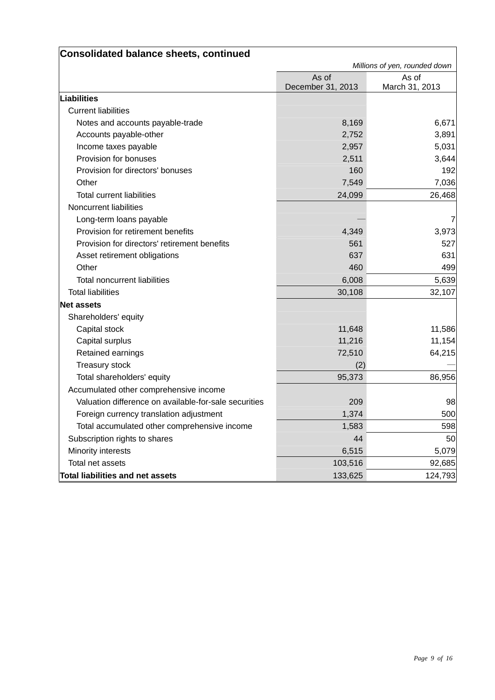| <b>Consolidated balance sheets, continued</b>         |                   |                               |
|-------------------------------------------------------|-------------------|-------------------------------|
|                                                       |                   | Millions of yen, rounded down |
|                                                       | As of             | As of                         |
|                                                       | December 31, 2013 | March 31, 2013                |
| Liabilities                                           |                   |                               |
| <b>Current liabilities</b>                            |                   |                               |
| Notes and accounts payable-trade                      | 8,169             | 6,671                         |
| Accounts payable-other                                | 2,752             | 3,891                         |
| Income taxes payable                                  | 2,957             | 5,031                         |
| Provision for bonuses                                 | 2,511             | 3,644                         |
| Provision for directors' bonuses                      | 160               | 192                           |
| Other                                                 | 7,549             | 7,036                         |
| <b>Total current liabilities</b>                      | 24,099            | 26,468                        |
| Noncurrent liabilities                                |                   |                               |
| Long-term loans payable                               |                   | 7                             |
| Provision for retirement benefits                     | 4,349             | 3,973                         |
| Provision for directors' retirement benefits          | 561               | 527                           |
| Asset retirement obligations                          | 637               | 631                           |
| Other                                                 | 460               | 499                           |
| Total noncurrent liabilities                          | 6,008             | 5,639                         |
| <b>Total liabilities</b>                              | 30,108            | 32,107                        |
| <b>Net assets</b>                                     |                   |                               |
| Shareholders' equity                                  |                   |                               |
| Capital stock                                         | 11,648            | 11,586                        |
| Capital surplus                                       | 11,216            | 11,154                        |
| Retained earnings                                     | 72,510            | 64,215                        |
| Treasury stock                                        | (2)               |                               |
| Total shareholders' equity                            | 95,373            | 86,956                        |
| Accumulated other comprehensive income                |                   |                               |
| Valuation difference on available-for-sale securities | 209               | 98                            |
| Foreign currency translation adjustment               | 1,374             | 500                           |
| Total accumulated other comprehensive income          | 1,583             | 598                           |
| Subscription rights to shares                         | 44                | 50                            |
| Minority interests                                    | 6,515             | 5,079                         |
| Total net assets                                      | 103,516           | 92,685                        |
| <b>Total liabilities and net assets</b>               | 133,625           | 124,793                       |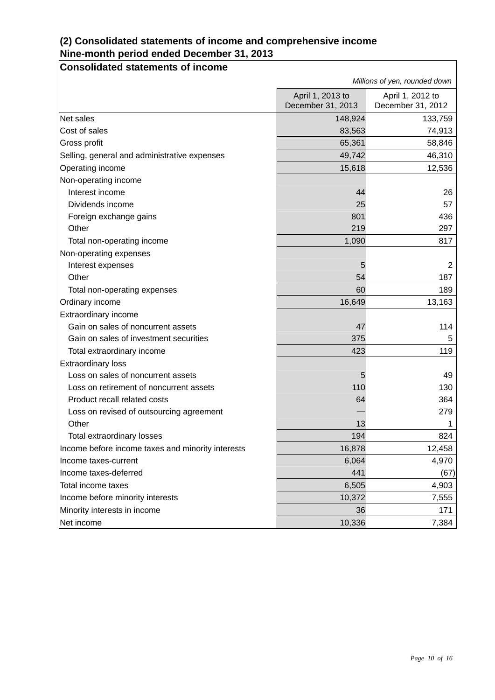# **(2) Consolidated statements of income and comprehensive income Nine-month period ended December 31, 2013**

# **Consolidated statements of income**

|                                                   | Millions of yen, rounded down         |                                       |
|---------------------------------------------------|---------------------------------------|---------------------------------------|
|                                                   | April 1, 2013 to<br>December 31, 2013 | April 1, 2012 to<br>December 31, 2012 |
| Net sales                                         | 148,924                               | 133,759                               |
| Cost of sales                                     | 83,563                                | 74,913                                |
| Gross profit                                      | 65,361                                | 58,846                                |
| Selling, general and administrative expenses      | 49,742                                | 46,310                                |
| Operating income                                  | 15,618                                | 12,536                                |
| Non-operating income                              |                                       |                                       |
| Interest income                                   | 44                                    | 26                                    |
| Dividends income                                  | 25                                    | 57                                    |
| Foreign exchange gains                            | 801                                   | 436                                   |
| Other                                             | 219                                   | 297                                   |
| Total non-operating income                        | 1,090                                 | 817                                   |
| Non-operating expenses                            |                                       |                                       |
| Interest expenses                                 | 5                                     | 2                                     |
| Other                                             | 54                                    | 187                                   |
| Total non-operating expenses                      | 60                                    | 189                                   |
| Ordinary income                                   | 16,649                                | 13,163                                |
| Extraordinary income                              |                                       |                                       |
| Gain on sales of noncurrent assets                | 47                                    | 114                                   |
| Gain on sales of investment securities            | 375                                   | 5                                     |
| Total extraordinary income                        | 423                                   | 119                                   |
| Extraordinary loss                                |                                       |                                       |
| Loss on sales of noncurrent assets                | 5                                     | 49                                    |
| Loss on retirement of noncurrent assets           | 110                                   | 130                                   |
| Product recall related costs                      | 64                                    | 364                                   |
| Loss on revised of outsourcing agreement          |                                       | 279                                   |
| Other                                             | 13                                    | 1                                     |
| Total extraordinary losses                        | 194                                   | 824                                   |
| Income before income taxes and minority interests | 16,878                                | 12,458                                |
| Income taxes-current                              | 6,064                                 | 4,970                                 |
| Income taxes-deferred                             | 441                                   | (67)                                  |
| Total income taxes                                | 6,505                                 | 4,903                                 |
| Income before minority interests                  | 10,372                                | 7,555                                 |
| Minority interests in income                      | 36                                    | 171                                   |
| Net income                                        | 10,336                                | 7,384                                 |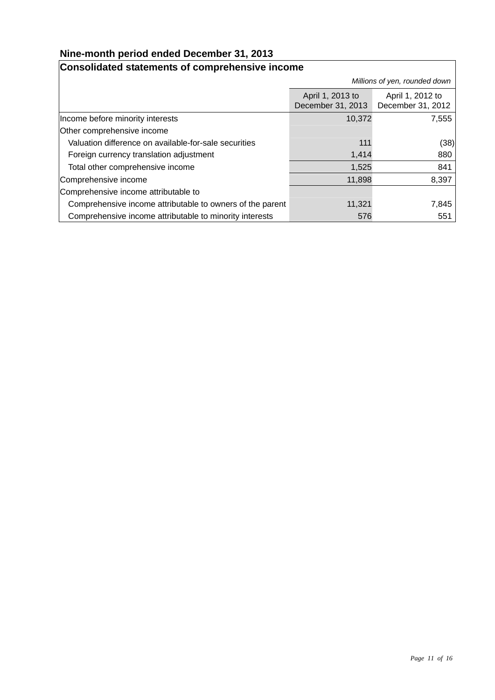# **Nine-month period ended December 31, 2013**

#### **Consolidated statements of comprehensive income**  *Millions of yen, rounded down* April 1, 2013 to December 31, 2013 April 1, 2012 to December 31, 2012 Income before minority interests and the state of the state 10,372 and 10,372 and 10,372 Other comprehensive income Valuation difference on available-for-sale securities 111 (38) Foreign currency translation adjustment 1,414 and 1,414 880 Total other comprehensive income 1,525 841 Comprehensive income 11,898 8,397 Comprehensive income attributable to Comprehensive income attributable to owners of the parent 11,321 7,845 Comprehensive income attributable to minority interests 576 576 551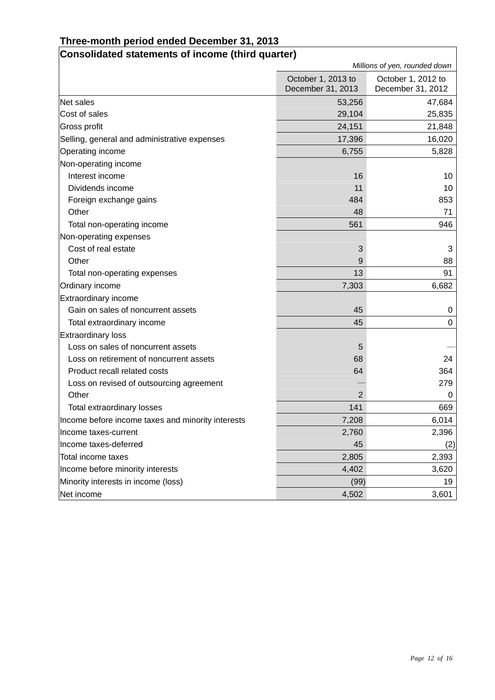# **Three-month period ended December 31, 2013**

| Consolidated statements of income (third quarter) |                    |                               |  |
|---------------------------------------------------|--------------------|-------------------------------|--|
|                                                   |                    | Millions of yen, rounded down |  |
|                                                   | October 1, 2013 to | October 1, 2012 to            |  |
|                                                   | December 31, 2013  | December 31, 2012             |  |
| Net sales                                         | 53,256             | 47,684                        |  |
| Cost of sales                                     | 29,104             | 25,835                        |  |
| Gross profit                                      | 24,151             | 21,848                        |  |
| Selling, general and administrative expenses      | 17,396             | 16,020                        |  |
| Operating income                                  | 6,755              | 5,828                         |  |
| Non-operating income                              |                    |                               |  |
| Interest income                                   | 16                 | 10                            |  |
| Dividends income                                  | 11                 | 10                            |  |
| Foreign exchange gains                            | 484                | 853                           |  |
| Other                                             | 48                 | 71                            |  |
| Total non-operating income                        | 561                | 946                           |  |
| Non-operating expenses                            |                    |                               |  |
| Cost of real estate                               | 3                  | 3                             |  |
| Other                                             | 9                  | 88                            |  |
| Total non-operating expenses                      | 13                 | 91                            |  |
| Ordinary income                                   | 7,303              | 6,682                         |  |
| Extraordinary income                              |                    |                               |  |
| Gain on sales of noncurrent assets                | 45                 | 0                             |  |
| Total extraordinary income                        | 45                 | $\Omega$                      |  |
| <b>Extraordinary loss</b>                         |                    |                               |  |
| Loss on sales of noncurrent assets                | 5                  |                               |  |
| Loss on retirement of noncurrent assets           | 68                 | 24                            |  |
| Product recall related costs                      | 64                 | 364                           |  |
| Loss on revised of outsourcing agreement          |                    | 279                           |  |
| Other                                             | $\overline{2}$     | 0                             |  |
| Total extraordinary losses                        | 141                | 669                           |  |
| Income before income taxes and minority interests | 7,208              | 6,014                         |  |
| Income taxes-current                              | 2,760              | 2,396                         |  |
| Income taxes-deferred                             | 45                 | (2)                           |  |
| Total income taxes                                | 2,805              | 2,393                         |  |
| Income before minority interests                  | 4,402              | 3,620                         |  |
| Minority interests in income (loss)               | (99)               | 19                            |  |
| Net income                                        | 4,502              | 3,601                         |  |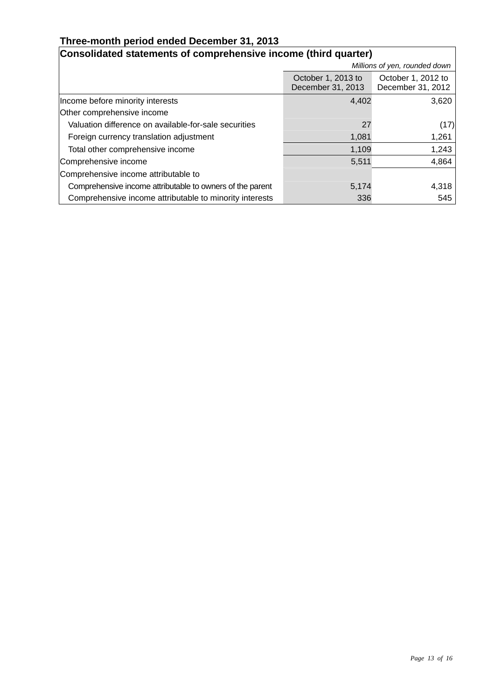# **Three-month period ended December 31, 2013**

| Consolidated statements of comprehensive income (third quarter) |                                         |                                         |  |  |
|-----------------------------------------------------------------|-----------------------------------------|-----------------------------------------|--|--|
|                                                                 | Millions of yen, rounded down           |                                         |  |  |
|                                                                 | October 1, 2013 to<br>December 31, 2013 | October 1, 2012 to<br>December 31, 2012 |  |  |
| Income before minority interests                                | 4,402                                   | 3,620                                   |  |  |
| Other comprehensive income                                      |                                         |                                         |  |  |
| Valuation difference on available-for-sale securities           | 27                                      | (17)                                    |  |  |
| Foreign currency translation adjustment                         | 1,081                                   | 1,261                                   |  |  |
| Total other comprehensive income                                | 1,109                                   | 1,243                                   |  |  |
| Comprehensive income                                            | 5,511                                   | 4,864                                   |  |  |
| Comprehensive income attributable to                            |                                         |                                         |  |  |
| Comprehensive income attributable to owners of the parent       | 5,174                                   | 4,318                                   |  |  |
| Comprehensive income attributable to minority interests         | 336                                     | 545                                     |  |  |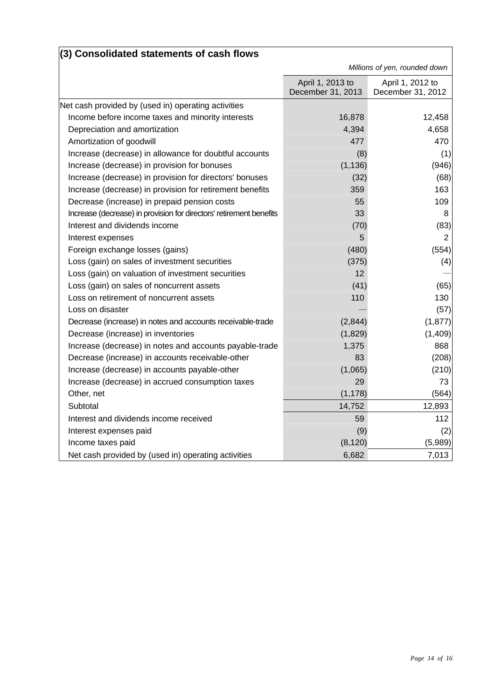| (3) Consolidated statements of cash flows                           |                                       |                                       |
|---------------------------------------------------------------------|---------------------------------------|---------------------------------------|
|                                                                     |                                       | Millions of yen, rounded down         |
|                                                                     | April 1, 2013 to<br>December 31, 2013 | April 1, 2012 to<br>December 31, 2012 |
| Net cash provided by (used in) operating activities                 |                                       |                                       |
| Income before income taxes and minority interests                   | 16,878                                | 12,458                                |
| Depreciation and amortization                                       | 4,394                                 | 4,658                                 |
| Amortization of goodwill                                            | 477                                   | 470                                   |
| Increase (decrease) in allowance for doubtful accounts              | (8)                                   | (1)                                   |
| Increase (decrease) in provision for bonuses                        | (1, 136)                              | (946)                                 |
| Increase (decrease) in provision for directors' bonuses             | (32)                                  | (68)                                  |
| Increase (decrease) in provision for retirement benefits            | 359                                   | 163                                   |
| Decrease (increase) in prepaid pension costs                        | 55                                    | 109                                   |
| Increase (decrease) in provision for directors' retirement benefits | 33                                    | 8                                     |
| Interest and dividends income                                       | (70)                                  | (83)                                  |
| Interest expenses                                                   | 5                                     | 2                                     |
| Foreign exchange losses (gains)                                     | (480)                                 | (554)                                 |
| Loss (gain) on sales of investment securities                       | (375)                                 | (4)                                   |
| Loss (gain) on valuation of investment securities                   | 12                                    |                                       |
| Loss (gain) on sales of noncurrent assets                           | (41)                                  | (65)                                  |
| Loss on retirement of noncurrent assets                             | 110                                   | 130                                   |
| Loss on disaster                                                    |                                       | (57)                                  |
| Decrease (increase) in notes and accounts receivable-trade          | (2,844)                               | (1, 877)                              |
| Decrease (increase) in inventories                                  | (1,829)                               | (1,409)                               |
| Increase (decrease) in notes and accounts payable-trade             | 1,375                                 | 868                                   |
| Decrease (increase) in accounts receivable-other                    | 83                                    | (208)                                 |
| Increase (decrease) in accounts payable-other                       | (1,065)                               | (210)                                 |
| Increase (decrease) in accrued consumption taxes                    | 29                                    | 73                                    |
| Other, net                                                          | (1, 178)                              | (564)                                 |
| Subtotal                                                            | 14,752                                | 12,893                                |
| Interest and dividends income received                              | 59                                    | 112                                   |
| Interest expenses paid                                              | (9)                                   | (2)                                   |
| Income taxes paid                                                   | (8, 120)                              | (5,989)                               |
| Net cash provided by (used in) operating activities                 | 6,682                                 | 7,013                                 |

# **(3) Consolidated statements of cash flows**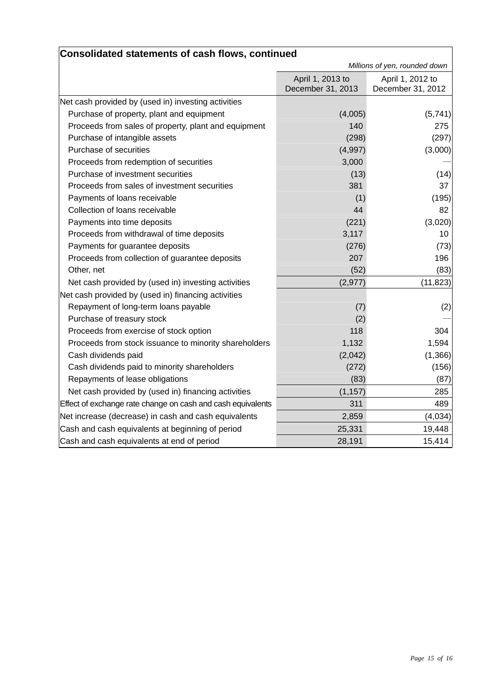| Consolidated statements of cash flows, continued            |                                       |                                       |
|-------------------------------------------------------------|---------------------------------------|---------------------------------------|
|                                                             | Millions of yen, rounded down         |                                       |
|                                                             | April 1, 2013 to<br>December 31, 2013 | April 1, 2012 to<br>December 31, 2012 |
| Net cash provided by (used in) investing activities         |                                       |                                       |
| Purchase of property, plant and equipment                   | (4,005)                               | (5,741)                               |
| Proceeds from sales of property, plant and equipment        | 140                                   | 275                                   |
| Purchase of intangible assets                               | (298)                                 | (297)                                 |
| Purchase of securities                                      | (4,997)                               | (3,000)                               |
| Proceeds from redemption of securities                      | 3,000                                 |                                       |
| Purchase of investment securities                           | (13)                                  | (14)                                  |
| Proceeds from sales of investment securities                | 381                                   | 37                                    |
| Payments of loans receivable                                | (1)                                   | (195)                                 |
| Collection of loans receivable                              | 44                                    | 82                                    |
| Payments into time deposits                                 | (221)                                 | (3,020)                               |
| Proceeds from withdrawal of time deposits                   | 3,117                                 | 10                                    |
| Payments for guarantee deposits                             | (276)                                 | (73)                                  |
| Proceeds from collection of guarantee deposits              | 207                                   | 196                                   |
| Other, net                                                  | (52)                                  | (83)                                  |
| Net cash provided by (used in) investing activities         | (2, 977)                              | (11, 823)                             |
| Net cash provided by (used in) financing activities         |                                       |                                       |
| Repayment of long-term loans payable                        | (7)                                   | (2)                                   |
| Purchase of treasury stock                                  | (2)                                   |                                       |
| Proceeds from exercise of stock option                      | 118                                   | 304                                   |
| Proceeds from stock issuance to minority shareholders       | 1,132                                 | 1,594                                 |
| Cash dividends paid                                         | (2,042)                               | (1,366)                               |
| Cash dividends paid to minority shareholders                | (272)                                 | (156)                                 |
| Repayments of lease obligations                             | (83)                                  | (87)                                  |
| Net cash provided by (used in) financing activities         | (1, 157)                              | 285                                   |
| Effect of exchange rate change on cash and cash equivalents | 311                                   | 489                                   |
| Net increase (decrease) in cash and cash equivalents        | 2,859                                 | (4,034)                               |
| Cash and cash equivalents at beginning of period            | 25,331                                | 19,448                                |
| Cash and cash equivalents at end of period                  | 28,191                                | 15,414                                |